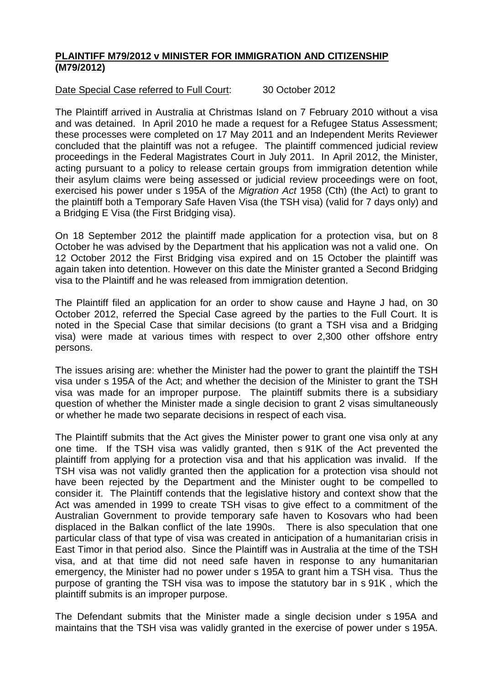## **PLAINTIFF M79/2012 v MINISTER FOR IMMIGRATION AND CITIZENSHIP (M79/2012)**

Date Special Case referred to Full Court: 30 October 2012

The Plaintiff arrived in Australia at Christmas Island on 7 February 2010 without a visa and was detained. In April 2010 he made a request for a Refugee Status Assessment; these processes were completed on 17 May 2011 and an Independent Merits Reviewer concluded that the plaintiff was not a refugee. The plaintiff commenced judicial review proceedings in the Federal Magistrates Court in July 2011. In April 2012, the Minister, acting pursuant to a policy to release certain groups from immigration detention while their asylum claims were being assessed or judicial review proceedings were on foot, exercised his power under s 195A of the *Migration Act* 1958 (Cth) (the Act) to grant to the plaintiff both a Temporary Safe Haven Visa (the TSH visa) (valid for 7 days only) and a Bridging E Visa (the First Bridging visa).

On 18 September 2012 the plaintiff made application for a protection visa, but on 8 October he was advised by the Department that his application was not a valid one. On 12 October 2012 the First Bridging visa expired and on 15 October the plaintiff was again taken into detention. However on this date the Minister granted a Second Bridging visa to the Plaintiff and he was released from immigration detention.

The Plaintiff filed an application for an order to show cause and Hayne J had, on 30 October 2012, referred the Special Case agreed by the parties to the Full Court. It is noted in the Special Case that similar decisions (to grant a TSH visa and a Bridging visa) were made at various times with respect to over 2,300 other offshore entry persons.

The issues arising are: whether the Minister had the power to grant the plaintiff the TSH visa under s 195A of the Act; and whether the decision of the Minister to grant the TSH visa was made for an improper purpose. The plaintiff submits there is a subsidiary question of whether the Minister made a single decision to grant 2 visas simultaneously or whether he made two separate decisions in respect of each visa.

The Plaintiff submits that the Act gives the Minister power to grant one visa only at any one time. If the TSH visa was validly granted, then s 91K of the Act prevented the plaintiff from applying for a protection visa and that his application was invalid. If the TSH visa was not validly granted then the application for a protection visa should not have been rejected by the Department and the Minister ought to be compelled to consider it. The Plaintiff contends that the legislative history and context show that the Act was amended in 1999 to create TSH visas to give effect to a commitment of the Australian Government to provide temporary safe haven to Kosovars who had been displaced in the Balkan conflict of the late 1990s. There is also speculation that one particular class of that type of visa was created in anticipation of a humanitarian crisis in East Timor in that period also. Since the Plaintiff was in Australia at the time of the TSH visa, and at that time did not need safe haven in response to any humanitarian emergency, the Minister had no power under s 195A to grant him a TSH visa. Thus the purpose of granting the TSH visa was to impose the statutory bar in s 91K , which the plaintiff submits is an improper purpose.

The Defendant submits that the Minister made a single decision under s 195A and maintains that the TSH visa was validly granted in the exercise of power under s 195A.